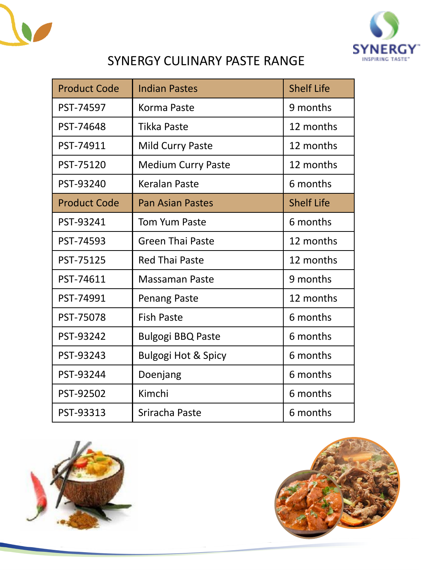



## SYNERGY CULINARY PASTE RANGE

| <b>Product Code</b> | <b>Indian Pastes</b>           | <b>Shelf Life</b> |
|---------------------|--------------------------------|-------------------|
| PST-74597           | Korma Paste                    | 9 months          |
| PST-74648           | Tikka Paste                    | 12 months         |
| PST-74911           | Mild Curry Paste               | 12 months         |
| PST-75120           | <b>Medium Curry Paste</b>      | 12 months         |
| PST-93240           | <b>Keralan Paste</b>           | 6 months          |
| <b>Product Code</b> | <b>Pan Asian Pastes</b>        | <b>Shelf Life</b> |
| PST-93241           | <b>Tom Yum Paste</b>           | 6 months          |
| PST-74593           | <b>Green Thai Paste</b>        | 12 months         |
| PST-75125           | <b>Red Thai Paste</b>          | 12 months         |
| PST-74611           | <b>Massaman Paste</b>          | 9 months          |
| PST-74991           | Penang Paste                   | 12 months         |
| PST-75078           | <b>Fish Paste</b>              | 6 months          |
| PST-93242           | <b>Bulgogi BBQ Paste</b>       | 6 months          |
| PST-93243           | <b>Bulgogi Hot &amp; Spicy</b> | 6 months          |
| PST-93244           | Doenjang                       | 6 months          |
| PST-92502           | Kimchi                         | 6 months          |
| PST-93313           | Sriracha Paste                 | 6 months          |